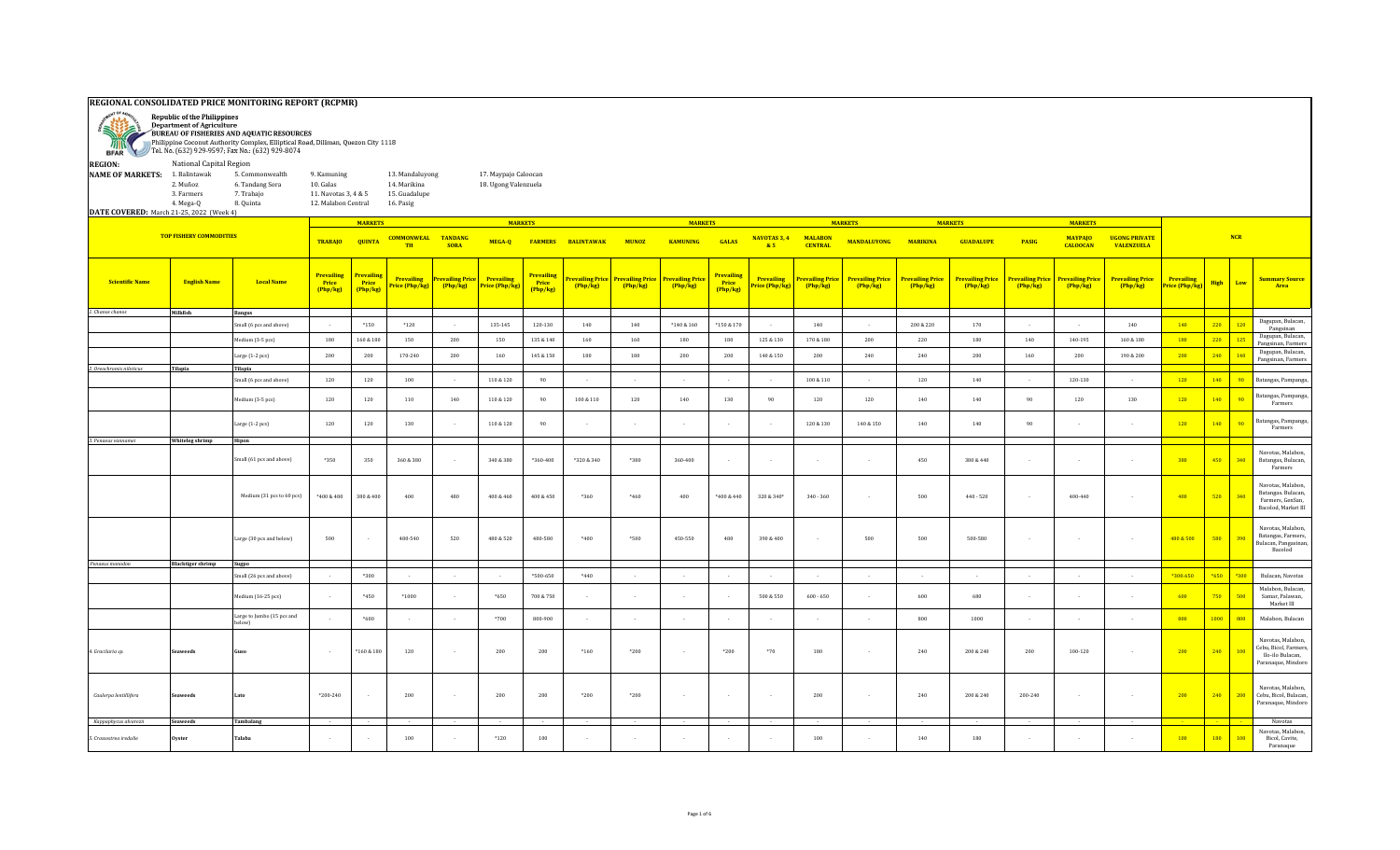## **REGIONAL CONSOLIDATED PRICE MONITORING REPORT (RCPMR)**



Department of Agriculture BUREAU OF FISHERIES AND AQUATIC RESOURCES

Philippine Coconut Authority Complex, Elliptical Road, Diliman, Quezon City 1118 Tel. No. (632) 929-9597; Fax No.: (632) 929-8074 **BFAR REGION:** National Capital Region **NAME OF MARKETS:** 1. Balintawak 5. Commonwealth 9. Kamuning 13. Mandaluyong 17. Maypajo Caloocan<br>2. Muñoz 6. Tandang Sora 10. Galas 14. Marikina 18. Ugong Valenzuela 2. Muñoz 6. Tandang Sora 10. Galas 14. Marikina 18. Ugong Valenzuela 3. Farmers 7. Trabajo 11. Navotas 3, 4 & 5 15. Guadalupe 4. Mega-Q 8. Quinta 12. Malabon Central 16. Pasig **DATE COVERED:** March 21-25, 2022 (Week 4) **MARKETS MARKETS MARKETS MARKETS MARKETS MARKETS TOP FISHERY COMMODITIES MALABON CENTRAL MANDALUYONG MARIKINA GUADALUPE PASIG MAYPAJO UGONG PRIVATE NCR TRABAJO QUINTA COMMONWEAL MUNOZ TANDANG SORA MEGA-Q FARMERS BALINTAWAK KAMUNING NAVOTAS 3, 4 GALAS TH & 5 CALOOCAN VALENZUELA Prevailing Prevailing Prevailing Prevailing Price Prevailing Prevailing Price Prevailing Prevailing Price Prevailing Price Prevailing Price Prevailing Prevailing Price Prevailing Price Prevailing Price Prevailing Price Prevailing Price Prevailing Price Prevailing Price Price (Php/kg) High Low Summary Source Prevailing Scientific Name English Name Local Name Price Price Price Price (Php/kg) Price (Php/kg) (Php/kg) (Php/kg) (Php/kg) (Php/kg) Price (Php/kg) (Php/kg) (Php/kg) (Php/kg) (Php/kg) (Php/kg) (Php/kg) (Php/kg) Area (Php/kg) (Php/kg) (Php/kg) (Php/kg)** *1. Chanos chanos* **Milkfish Bangus** Small (6 pcs and above) - \*150 \*120 - 135-145 120-130 140 \*140 140 \*140&160 \*150&170 - 140 - 140 - 200&220 170 - 170 - 140 140 <mark>220 120</mark> <sup>Dagupan, Bulacan,</sup> Pangsinan<br>Dagupan, Bulacan Medium (3-5 pcs) <sup>180</sup> 160 & 180 <sup>150</sup> <sup>200</sup> <sup>150</sup> 135 & 140 <sup>160</sup> <sup>160</sup> <sup>180</sup> <sup>180</sup> 125 & 130 170 & 180 <sup>200</sup> <sup>220</sup> <sup>180</sup> <sup>140</sup> 140-195 160 & 180 <sup>180</sup> <sup>220</sup> <sup>125</sup> Dagupan, Bulacan, Pangsinan, Farmer Large (1-2 pcs) <sup>200</sup> <sup>200</sup> 170-240 <sup>200</sup> <sup>160</sup> 145 & 150 <sup>180</sup> <sup>180</sup> <sup>200</sup> <sup>200</sup> 140 & 150 <sup>200</sup> <sup>240</sup> <sup>240</sup> <sup>200</sup> <sup>160</sup> <sup>200</sup> 190 & 200 <sup>200</sup> <sup>240</sup> <sup>140</sup> Dagupan, Bulacan, Pangsinan, Farmer *2. Oreochromis niloticus* **Tilapia Tilapia** Small (6 pcs and above) | 120 | 120 | 100 | - | 110 & 120 | 90 | - | - | - | - | - | 100 & 110 | - | 120 | 140 | - | 120 | 140 | - | 120 | 140 | 90 Batangas, Pampanga, Medium (3-5 pcs) | 120 | 120 | 110 | 140 | 110&120 | 90 | 100&110 | 120 | 140 | 90 | 120 | 120 | 120 | 120 | 140 | 100 | 140 | 190 | 90 | 8atangas, Pampanga, Pampanga, **Farmers** Large (1-2 pcs) 10 & 120 | 90 | . | . | . | . | . | 120 | 120 | 140 | 90 Batangas, Pampanga, Pampanga, Pampanga, Pampanga, Pampanga, Pampanga, Pampanga, Pampanga, Pampanga, Pampanga, Pampanga, Pampanga, Pa Farmers *3. Penaeus vannamei* **Whiteleg shrimp Hipon** Navotas, Malabon, Batangas, Bulacan, Small (61 pcs and above) \*350 350 360 & 380 - 340 & 380 \*360-400 \*320 & 340 \*380 360-400 - - - - 450 380 & 440 - - - 380 450 340 Farmers Navotas, Malabon, Batangas. Bulacan, Medium (31 pcs to 60 pcs) | \*400 & 480 | 380 & 400 | 480 | 480 & 460 | 460 + 460 & 460 | 480 + 400 + 400 + 400 + 400 + 520 | 340 + 400 + 520 | 340 + 400 + 520 | 340 + 400 + 520 | 340 + 520 + 360 | 340 + 400 + 520 + 340-840 Farmers, GenSan, Bacolod, Market III Navotas, Malabon, Batangas, Farmers, Large (30 pcs and below) | 500 | - | 480-540 | 520 | 480-550 | 480-580 | \*400 | \*500 | 480-550 | 480 | 390-8400 | - | 500 | 500 | 500 | 500-500 | - | - | - | - | <mark>480-8500 | 580 | 390</mark> Bulacan, Pangasina ncan, 1 angas<br>Bacolod  *Penaeus monodon* **Blacktiger shrimp Sugpo** Small (26 pcs and above) - \*300 - - - \*500-650 \*440 - - - - - - - - - - - \*300-650 \*650 \*300 Bulacan, Navotas Malabon, Bulacan, Samar, Palawan, Medium (16-25 pcs) - | \*450 | \*1000 | - | \*650 | 700&750 | - | - | - | - | 500&550 | 600-650 | - | 600 | 680 | - | - | - | - | 6<mark>00 | 750 | 500</mark> Market III Large to Jumbo (15 pcs and مستور المستقرر المستقرر المستقرر المستقرر المستقرر المستقرر المستقرر المستقرر المستقرر المستقرر المستقرر المستقرر ال<br>المستقرر المستقرر المستقرر المستقرر المستقرر المستقرر المستقرر المستقرر المستقرر المستقرر المستقرر المست Navotas, Malabon, Cebu, Bicol, Farmers, Ilo-ilo Bulacan, *4. Gracilaria sp.* **Seaweeds Guso** - \*160 & 180 120 - 200 200 \*160 \*200 - \*200 \*70 180 - 240 200 & 240 200 100-120 - 200 240 100 Paranaque, Mindor

 *Kappaphycus alvarezii* **Seaweeds Tambalang** - - - - - - - - - - - - - - - - - - - - - Navotas

Navotas, Malabon, Cebu, Bicol, Bulacan, Paranaque, Mindoro

Navotas, Malabon, Bicol, Cavite, Paranaque

*Caulerpa lentillifera* | Seaweeds |Lato | \*200-240 - | 200 | \* | 200 | \*200 | \*200 | \* | \* | 200 | \* | \* | 200 | <mark>210 | 200 | 240 | 200</mark> | 240 | 200 | 240 | 200 | 240 | 200 | 240 | 200 | 240 | 200 | 240 | 200 | 240 | 200

*5. Crassostrea iredalie* **Oyster Talaba** - - 100 - \*120 100 - - - - - 100 - 140 180 - - - 100 180 100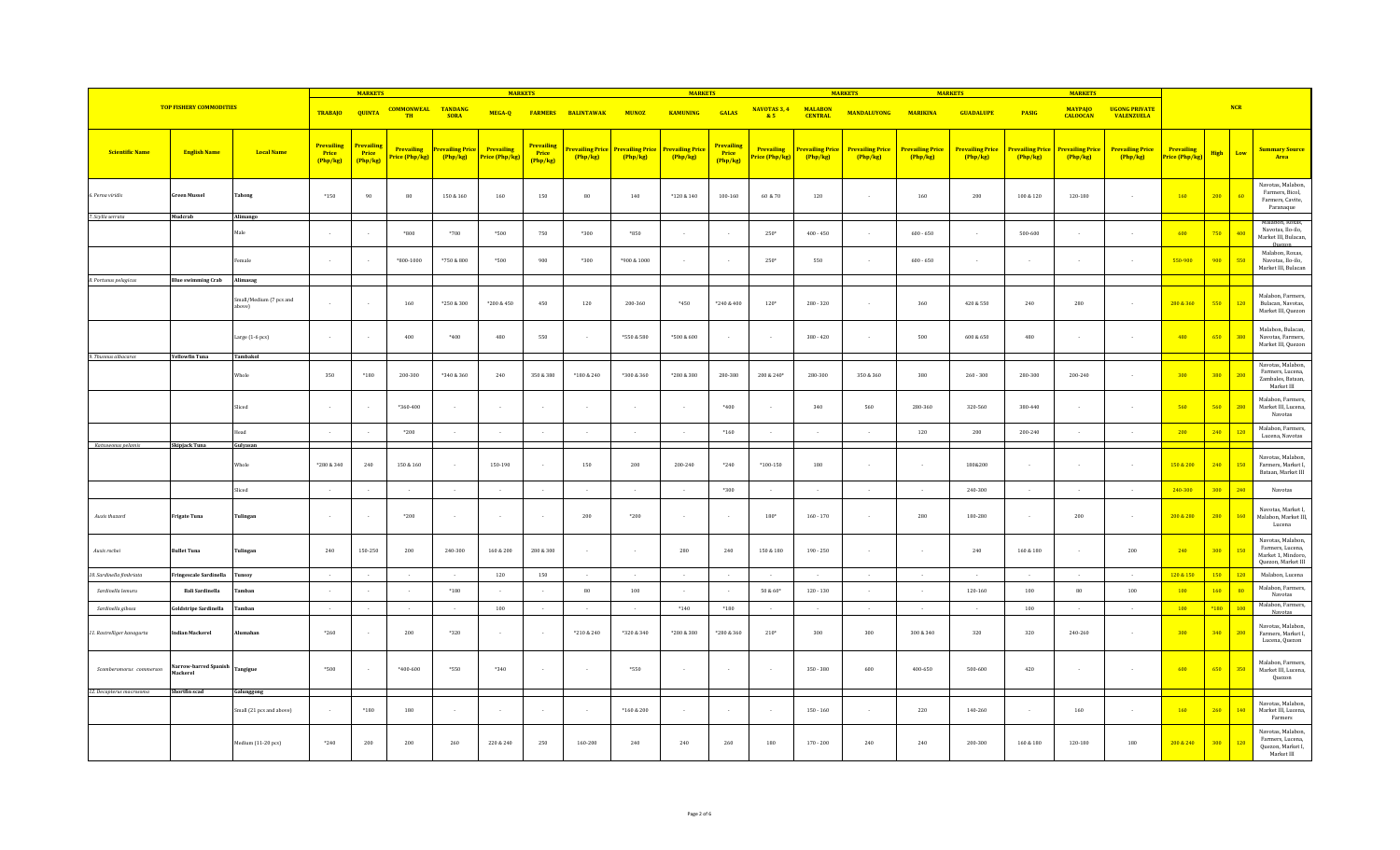|                            |                                   |                                               | <b>MARKETS</b>                       |                               |                                     | <b>MARKETS</b>                      |                              |                                      | <b>MARKETS</b>                      |              |                                                    | <b>MARKETS</b>                       |                              |                                   | <b>MARKETS</b>                    |                                   | <b>MARKETS</b>                    |                |                                                    |                                           |                                     |                    |                                                                                     |
|----------------------------|-----------------------------------|-----------------------------------------------|--------------------------------------|-------------------------------|-------------------------------------|-------------------------------------|------------------------------|--------------------------------------|-------------------------------------|--------------|----------------------------------------------------|--------------------------------------|------------------------------|-----------------------------------|-----------------------------------|-----------------------------------|-----------------------------------|----------------|----------------------------------------------------|-------------------------------------------|-------------------------------------|--------------------|-------------------------------------------------------------------------------------|
|                            | <b>TOP FISHERY COMMODITIES</b>    |                                               | <b>TRABAJO</b>                       | <b>QUINTA</b>                 | <b>COMMONWEAL</b><br>TH             | <b>TANDANG</b><br><b>SORA</b>       | MEGA-Q                       | <b>FARMERS</b>                       | <b>BALINTAWAK</b>                   | <b>MUNOZ</b> | <b>KAMUNING</b>                                    | <b>GALAS</b>                         | <b>NAVOTAS 3, 4</b><br>& 5   | <b>MALABON</b><br><b>CENTRAL</b>  | <b>MANDALUYONG</b>                | <b>MARIKINA</b>                   | <b>GUADALUPE</b>                  | <b>PASIG</b>   | <b>MAYPAJO</b><br><b>CALOOCAN</b>                  | <b>UGONG PRIVATE</b><br><b>VALENZUELA</b> |                                     | NCR                |                                                                                     |
| <b>Scientific Name</b>     | <b>English Name</b>               | <b>Local Name</b>                             | <b>Prevailing</b><br>Price<br>Php/kg | Prevailing<br>Price<br>Php/kg | <b>Prevailing</b><br>Price (Php/kg) | <b>Prevailing Price</b><br>(Php/kg) | Prevailing<br>Price (Php/kg) | <b>Prevailing</b><br>Price<br>Php/kg | <b>Prevailing Price</b><br>(Php/kg) | Php/kg       | <b>Prevailing Price Prevailing Price</b><br>Php/kg | <b>Prevailing</b><br>Price<br>Php/kg | Prevailing<br>Price (Php/kg) | <b>Prevailing Price</b><br>Php/kg | <b>Prevailing Price</b><br>Php/kg | <b>Prevailing Price</b><br>Php/kg | <b>Prevailing Price</b><br>Php/kg | Php/kg         | <b>Prevailing Price Prevailing Price</b><br>Php/kg | <b>Prevailing Price</b><br>(Php/kg)       | <b>Prevailing</b><br>Price (Php/kg) | <b>High</b><br>Low | <b>Summary Source</b><br>Area                                                       |
| 6. Perna viridis           | <b>Green Mussel</b>               | Tahong                                        | $*150$                               | 90                            | $_{\rm 80}$                         | $150\ \&\ 160$                      | 160                          | 150                                  | $_{\rm 80}$                         | 140          | $*120 & 140$                                       | $100 - 160$                          | 60 & 70                      | 120                               |                                   | $160\,$                           | $200\,$                           | $100\ \&\ 120$ | 120-180                                            |                                           | 160                                 | 200<br>60          | Navotas, Malabon,<br>Farmers, Bicol,<br>Farmers, Cavite,<br>Paranaque               |
| 7. Scylla serrata          | Mudcrab                           | Alimango<br>Male                              | $\sim$                               | $\sim$                        | $*800$                              | $*700$                              | *500                         | 750                                  | *300                                | *850         | $\sim$                                             | $\sim$                               | $250*$                       | $400 - 450$                       | $\sim$                            | $600 - 650$                       | $\sim$                            | 500-600        |                                                    |                                           | 600                                 | 750<br>400         | Malabon, Roxas,<br>Navotas, Ilo-ilo,<br>Market III, Bulacan,<br>0 <sub>110201</sub> |
|                            |                                   | emale                                         | $\sim$                               | $\sim$                        | *800-1000                           | *750 & 800                          | *500                         | 900                                  | *300                                | *900 & 1000  | $\sim$                                             | $\sim$                               | 250*                         | 550                               | $\sim$                            | $600 - 650$                       | $\sim$                            | $\sim$         |                                                    |                                           | 550-900                             | 900<br>550         | Malabon, Roxas,<br>Navotas, Ilo-ilo,<br>Market III, Bulacan                         |
| 8. Portunus pelagicus      | <b>Blue swimming Crab</b>         | Alimasag<br>Small/Medium (7 pcs and<br>above) |                                      | $\sim$                        | 160                                 | *250 & 300                          | *200 & 450                   | 450                                  | 120                                 | 200-360      | *450                                               | *240 & 400                           | $120*$                       | $280 - 320$                       | $\sim$                            | 360                               | 420 & 550                         | 240            | 280                                                | $\sim$                                    | 280 & 360                           | 550<br>120         | Malabon, Farmers,<br>Bulacan, Navotas,<br>Market III, Quezon                        |
|                            |                                   | Large (1-6 pcs)                               | $\sim$                               | $\sim$                        | 400                                 | *400                                | 480                          | 550                                  | $\sim$                              | *550 & 580   | *500 & 600                                         | $\sim$                               | - 1                          | $380 - 420$                       | $\sim$                            | 500                               | 600 & 650                         | 480            |                                                    |                                           | 480                                 | 650<br>380         | Malabon, Bulacan,<br>Navotas, Farmers,<br>Market III, Quezon                        |
| 9. Thunnus albacares       | <b>Yellowfin Tuna</b>             | Tambakol<br>Vhole                             | 350                                  | *180                          | 200-300                             | *340 & 360                          | 240                          | 350 & 380                            | *180 & 240                          | *300 & 360   | *280 & 380                                         | 280-380                              | 200 & 240*                   | 280-300                           | 350 & 360                         | 380                               | $260 - 300$                       | 280-300        | 200-240                                            |                                           | 300                                 | 380<br>200         | Navotas, Malabon,<br>Farmers, Lucena,<br>Zambales, Bataan,<br>Market III            |
|                            |                                   | Sliced                                        |                                      | $\sim$                        | *360-400                            | $\sim$                              | $\sim$                       |                                      |                                     | $\sim$       | $\sim$                                             | *400                                 |                              | 340                               | 560                               | 280-360                           | 320-560                           | 380-440        |                                                    |                                           | 560                                 | 560<br>280         | Malabon, Farmers,<br>Market III, Lucena,<br>Navotas                                 |
|                            |                                   | lead                                          |                                      | $\sim$                        | $*200$                              |                                     | $\sim$                       |                                      |                                     |              |                                                    | $*160$                               |                              |                                   |                                   | 120                               | $200\,$                           | 200-240        |                                                    |                                           | 200                                 | 240<br>120         | Malabon, Farmers,<br>Lucena, Navotas                                                |
| Katsuwonus pelamis         | <b>Skipjack Tuna</b>              | Gulyasan                                      |                                      |                               |                                     |                                     |                              |                                      |                                     |              |                                                    |                                      |                              |                                   |                                   |                                   |                                   |                |                                                    |                                           |                                     |                    |                                                                                     |
|                            |                                   | Whole                                         | $*280 & 340$                         | 240                           | 150 & 160                           | $\sim$                              | 150-190                      |                                      | 150                                 | 200          | 200-240                                            | $*240$                               | $*100-150$                   | 180                               |                                   | $\sim$                            | 180&200                           | $\sim$         |                                                    |                                           | 150 & 200                           | 240<br>150         | Navotas, Malabon,<br>Farmers, Market I,<br>Bataan, Market III                       |
|                            |                                   | Sliced                                        |                                      | $\sim$                        |                                     | $\sim$                              | $\sim$                       |                                      |                                     | $\sim$       | $\sim$                                             | *300                                 |                              | $\sim$                            | $\sim$                            | $\sim$                            | 240-300                           | $\sim$         |                                                    |                                           | 240-300                             | 300<br>240         | Navotas                                                                             |
| Auxis thazard              | Frigate Tuna                      | Tulingan                                      | $\sim$                               | $\sim$                        | $*200$                              | $\sim$                              | $\sim$                       |                                      | 200                                 | $*200$       | $\sim$                                             | $\sim$                               | 180*                         | $160 - 170$                       |                                   | 280                               | 180-280                           | $\sim$         | 200                                                |                                           | 200 & 280                           | 280<br>160         | Navotas, Market I,<br>Malabon, Market III,<br>Lucena                                |
| Auxis rochei               | Bullet Tuna                       | <b>Tulingan</b>                               | 240                                  | 150-250                       | 200                                 | 240-300                             | $160\text{ \& }200$          | 280 & 300                            |                                     | $\sim$       | 280                                                | 240                                  | $150\text{ }\&\text{ }180$   | $190 - 250$                       |                                   | $\sim$                            | 240                               | 160 & 180      |                                                    | 200                                       | 240                                 | 300<br>150         | Navotas, Malabon,<br>Farmers, Lucena,<br>Market 1, Mindoro,<br>Quezon, Market III   |
| 10. Sardinella fimbriata   | ringescale Sardinella             | <b>Tunsoy</b>                                 | $\sim$                               | $\sim$                        | $\sim$                              | $\sim$                              | 120                          | 150                                  | $\sim$                              | $\sim$       | $\sim$                                             | $\sim$                               | $\sim$                       | $\sim$                            | $\sim$                            | $\sim$                            | $\sim$                            | $\sim$         | $\sim$                                             | $\sim$                                    | 120 & 150                           | 150<br>120         | Malabon, Lucena                                                                     |
| Sardinella lemuru          | <b>Bali Sardinella</b>            | amban                                         | $\sim$                               | $\sim$                        | $\sim$                              | *180                                |                              |                                      | 80                                  | 100          | . .                                                | $\sim$                               | 50 & 60*                     | $120 - 130$                       |                                   | $\sim$                            | 120-160                           | 100            | $_{\rm 80}$                                        | 100                                       | 100                                 | 160<br>80          | Malabon, Farmers,<br>Navotas                                                        |
| Sardinella gibosa          | Goldstripe Sardinella             | amban                                         |                                      | $\sim$                        |                                     |                                     | 100                          |                                      |                                     |              | $*140$                                             | $*180$                               |                              |                                   |                                   |                                   |                                   | 100            |                                                    |                                           | 100                                 | $*180$<br>100      | Malabon, Farmers,<br>Navotas                                                        |
| 11. Rastrelliger kanagurta | ndian Mackerel                    | ilumahan                                      | $*260$                               | $\sim$                        | 200                                 | *320                                | $\sim$                       |                                      | *210 & 240                          | *320 & 340   | *280 & 380                                         | $*280 & 360$                         | $210*$                       | 300                               | 300                               | 300 & 340                         | 320                               | 320            | 240-260                                            |                                           | 300                                 | 340<br>200         | Navotas, Malabon,<br>Farmers, Market I,<br>Lucena, Quezon                           |
| Scomberomorus commerson    | Narrow-barred Spanish<br>Mackerel | <b>Tangigue</b>                               | *500                                 | $\sim$                        | $*400 - 600$                        | *550                                | $*340$                       |                                      | $\sim$                              | *550         | $\sim$                                             | $\sim$                               | $\overline{\phantom{a}}$     | $350 - 380$                       | 600                               | 400-650                           | 500-600                           | 420            |                                                    |                                           | 600                                 | 650<br>350         | Malabon, Farmers,<br>Market III, Lucena,<br>Quezon                                  |
| 12. Decapterus macrosoma   | Shortfin scad                     | Galunggong                                    |                                      |                               |                                     |                                     |                              |                                      |                                     |              |                                                    |                                      |                              |                                   |                                   |                                   |                                   |                |                                                    |                                           |                                     |                    | Navotas, Malabon,                                                                   |
|                            |                                   | mall (21 pcs and above)                       | $\sim$                               | $^{\ast}180$                  | 180                                 | $\sim$                              | $\sim$                       |                                      | $\sim$                              | *160 & 200   | $\sim$                                             | $\sim$                               | - 1                          | $150 - 160$                       |                                   | 220                               | 140-260                           | $\sim$         | 160                                                |                                           | 160                                 | 260<br>140         | Market III, Lucena,<br>Farmers                                                      |
|                            |                                   | Medium (11-20 pcs)                            | $*240$                               | 200                           | 200                                 | 260                                 | 220 & 240                    | 250                                  | 160-200                             | 240          | 240                                                | 260                                  | 180                          | $170 - 200$                       | 240                               | 240                               | 200-300                           | $160\,\&\,180$ | 120-180                                            | 180                                       | 200 & 240                           | 300<br>120         | Navotas, Malabon,<br>Farmers, Lucena,<br>Quezon, Market I,<br>Market III            |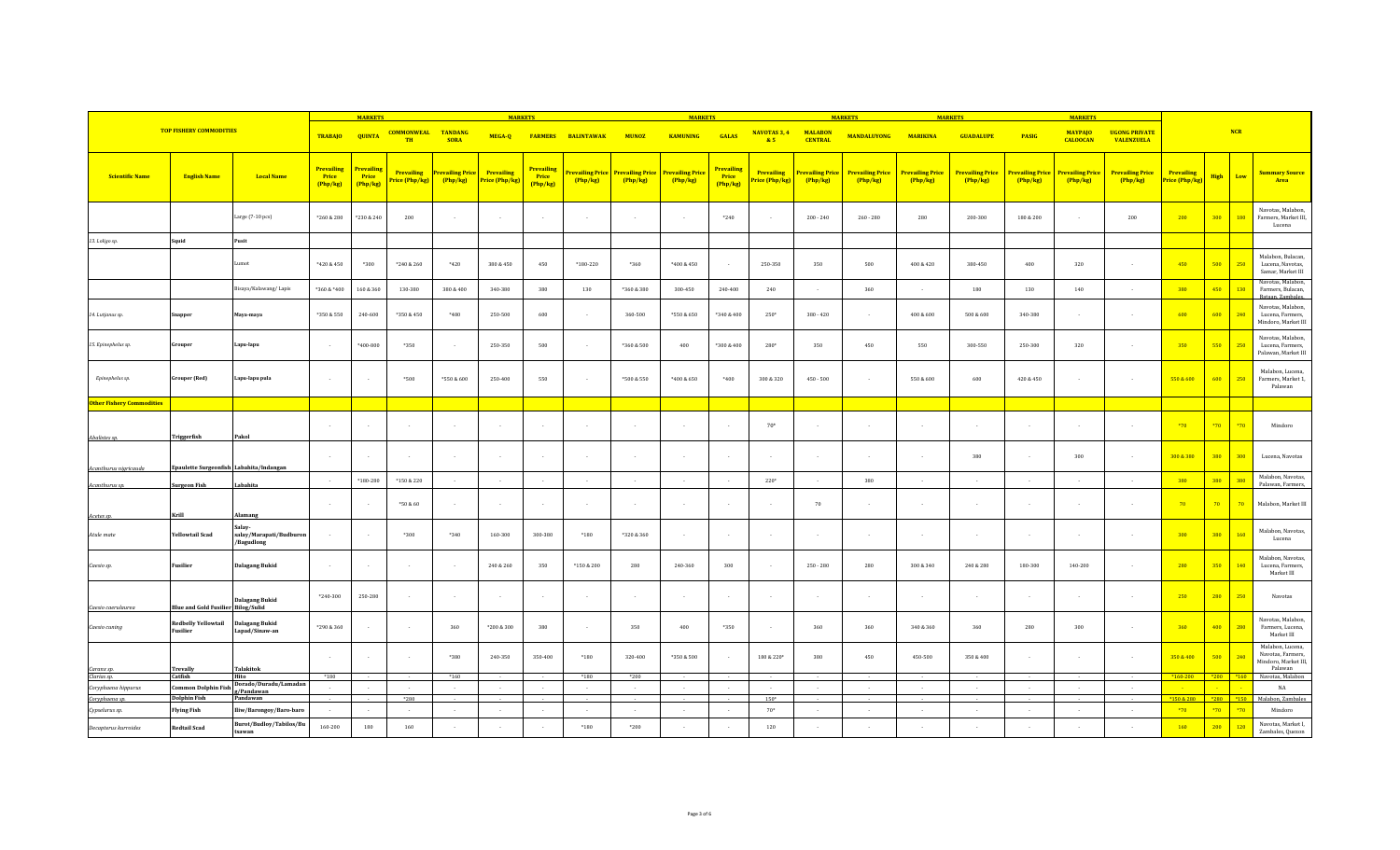|                                  |                                           |                                                 | <b>MARKETS</b>                         |                               | <b>MARKETS</b>                |                                  |                                     |                                        |                           | <b>MARKETS</b>                    |                                   |                                      | <b>MARKETS</b><br><b>MARKET</b>     |                                   |                                   |                                   |                                   | <b>MARKETS</b>                    |                                           |                                     |                                     |               |        |                                                                                  |
|----------------------------------|-------------------------------------------|-------------------------------------------------|----------------------------------------|-------------------------------|-------------------------------|----------------------------------|-------------------------------------|----------------------------------------|---------------------------|-----------------------------------|-----------------------------------|--------------------------------------|-------------------------------------|-----------------------------------|-----------------------------------|-----------------------------------|-----------------------------------|-----------------------------------|-------------------------------------------|-------------------------------------|-------------------------------------|---------------|--------|----------------------------------------------------------------------------------|
| <b>TOP FISHERY COMMODITIES</b>   |                                           | <b>TRABAJO</b>                                  | <b>QUINTA</b>                          | <b>COMMONWEAL</b><br>TH       | <b>TANDANG</b><br><b>SORA</b> |                                  |                                     | MEGA-Q FARMERS BALINTAWAK              | <b>MUNOZ</b>              | <b>KAMUNING</b>                   | <b>GALAS</b>                      | NAVOTAS 3, 4<br>85                   | <b>MALABON</b><br><b>CENTRAL</b>    | <b>MANDALUYONG</b>                | <b>MARIKINA</b>                   | <b>GUADALUPE</b>                  | <b>PASIG</b>                      | <b>MAYPAJO</b><br><b>CALOOCAN</b> | <b>UGONG PRIVATE</b><br><b>VALENZUELA</b> |                                     |                                     | NCR           |        |                                                                                  |
| <b>Scientific Name</b>           | <b>English Name</b>                       | <b>Local Name</b>                               | <b>Prevailing</b><br>Price<br>(Php/kg) | Prevailing<br>Price<br>Php/kg | Prevailing<br>Price (Php/kg)  | <b>revailing Price</b><br>Php/kg | <b>Prevailing</b><br>Price (Php/kg) | <b>Prevailing</b><br>Price<br>(Php/kg) | revailing Price<br>Php/kg | <b>Prevailing Price</b><br>Php/kg | <b>Prevailing Price</b><br>Php/kg | <b>Prevailing</b><br>Price<br>Php/kg | <b>Prevailing</b><br>Price (Php/kg) | <b>Prevailing Price</b><br>Php/kg | <b>Prevailing Price</b><br>Php/kg | <b>Prevailing Price</b><br>Php/kg | <b>Prevailing Price</b><br>Php/kg | <b>Prevailing Price</b><br>Php/kg | <b>Prevailing Price</b><br>Php/kg         | <b>Prevailing Price</b><br>(Php/kg) | <b>Prevailing</b><br>Price (Php/kg) | <b>High</b>   | Low    | <b>Summary Source</b><br>Area                                                    |
|                                  |                                           | Large (7-10 pcs)                                | *260 & 280                             | *230 & 240                    | 200                           | $\sim$                           | $\sim$                              |                                        | $\sim$                    | $\sim$                            | $\sim$                            | *240                                 |                                     | $200 - 240$                       | $260 - 280$                       | 280                               | $200 - 300$                       | 180 & 200                         |                                           | 200                                 | 200                                 | 300           | $-180$ | Navotas, Malabon,<br>Farmers, Market III<br>Lucena                               |
| 13. Loligo sp.                   | Squid                                     | Pusit                                           |                                        |                               |                               |                                  |                                     |                                        |                           |                                   |                                   |                                      |                                     |                                   |                                   |                                   |                                   |                                   |                                           |                                     |                                     |               |        |                                                                                  |
|                                  |                                           | umot.                                           | *420 & 450                             | *300                          | *240 & 260                    | *420                             | 380 & 450                           | 450                                    | *180-220                  | *360                              | *400 & 450                        | $\sim$                               | 250-350                             | 350                               | 500                               | 400 & 420                         | 380-450                           | 400                               | 320                                       |                                     | 450                                 | 500           | 250    | Malabon, Bulacan,<br>Lucena, Navotas,<br>Samar, Market III                       |
|                                  |                                           | Bisaya/Kalawang/Lapis                           | *360 & *400                            | 160 & 360                     | 130-380                       | 380 & 400                        | 340-380                             | 380                                    | 130                       | $*360 & 380$                      | 300-450                           | 240-400                              | 240                                 |                                   | 360                               | $\sim$                            | 180                               | 130                               | 140                                       |                                     | 380                                 | 450           | 130    | Navotas, Malabon,<br>Farmers, Bulacan,                                           |
| 14. Lutjanus sp.                 | inapper                                   | Maya-maya                                       | *350 & 550                             | 240-600                       | *350 & 450                    | *480                             | 250-500                             | 600                                    |                           | 360-500                           | *550 & 650                        | $^*340\,\&\,400$                     | 250*                                | $380 - 420$                       |                                   | $400 \& 600$                      | 500 & 600                         | 340-380                           |                                           |                                     | 600                                 | 600           | 240    | Bataan, Zambales<br>Navotas, Malabon,<br>Lucena, Farmers,<br>Mindoro, Market III |
| 15. Epinephelus sp.              | Grouper                                   | Lapu-lapu                                       | $\sim$                                 | *400-800                      | *350                          | $\sim$                           | 250-350                             | 500                                    | $\overline{\phantom{a}}$  | *360 & 500                        | 400                               | *300 & 400                           | 280*                                | 350                               | 450                               | 550                               | 300-550                           | 250-300                           | 320                                       |                                     | 350                                 | 550           | 250    | Navotas, Malabon,<br>Lucena, Farmers,<br>Palawan, Market III                     |
| Epinephelus sp.                  | <b>Grouper</b> (Red)                      | Lapu-lapu pula                                  | $\sim$                                 |                               | *500                          | *550 & 600                       | 250-400                             | 550                                    | $\overline{\phantom{a}}$  | *500 & 550                        | *400 & 650                        | $*400$                               | 300 & 320                           | $450 - 500$                       |                                   | 550 & 600                         | 600                               | 420 & 450                         |                                           |                                     | 550 & 600                           | 600           | 250    | Malabon, Lucena,<br>Farmers, Market 1,<br>Palawan                                |
| <b>Other Fishery Commodities</b> |                                           |                                                 |                                        |                               |                               |                                  |                                     |                                        |                           |                                   |                                   |                                      |                                     |                                   |                                   |                                   |                                   |                                   |                                           |                                     |                                     |               |        |                                                                                  |
|                                  |                                           |                                                 |                                        |                               |                               |                                  |                                     |                                        |                           |                                   |                                   |                                      |                                     |                                   |                                   |                                   |                                   |                                   |                                           |                                     |                                     |               |        |                                                                                  |
| Abalistes sp.                    | Triggerfish                               | Pakol                                           |                                        |                               |                               | $\sim$                           | $\sim$                              |                                        | $\sim$                    | $\sim$                            | $\sim$                            | $\sim$                               | $70*$                               |                                   |                                   | $\sim$                            |                                   |                                   |                                           |                                     | $*70$                               | $*70$         | *70    | Mindoro                                                                          |
| Acanthurus nigricauda            | Epaulette Surgeonfish Labahita/Indangan   |                                                 |                                        |                               |                               | $\sim$                           | $\sim$                              |                                        | $\sim$                    | $\sim$                            | $\sim$                            | $\sim$                               |                                     |                                   |                                   | $\sim$                            | 380                               | $\sim$                            | 300                                       |                                     | 300 & 380                           | 380           | 300    | Lucena, Navotas                                                                  |
| Acanthurus sp.                   | <b>Surgeon Fish</b>                       | Lababita                                        | $\sim$                                 | $*180 - 280$                  | *150 & 220                    | $\sim$                           | $\sim$                              |                                        | $\sim$                    | $\sim$                            | $\sim$                            | $\sim$                               | $220*$                              |                                   | 380                               | $\sim$                            | $\sim$                            | $\sim$                            |                                           | $\sim$                              | 380                                 | 380           | 380    | Malabon, Navotas,<br>Palawan, Farmers,                                           |
| Acetes sp.                       | Krill                                     | Alamang                                         | . .                                    |                               | *50 & 60                      | $\sim$                           | $\sim$                              |                                        | $\sim$                    | $\sim$                            | $\sim$                            | $\sim$                               |                                     | 70                                |                                   | $\sim$                            | $\sim$                            | $\sim$                            |                                           |                                     | 70                                  | 70            | 70     | Malabon, Market III                                                              |
| Atule mate                       | <b>Yellowtail Scad</b>                    | Salay-<br>salay/Marapati/Budburon<br>/Bagudlong |                                        | $\sim$                        | *300                          | $*340$                           | 160-300                             | 300-380                                | $*180$                    | *320 & 360                        | $\sim$                            | $\sim$                               |                                     |                                   |                                   | $\sim$                            |                                   | $\sim$                            |                                           |                                     | 300                                 | 380           | 160    | Malabon, Navotas,<br>Lucena                                                      |
| Caesio sp.                       | Fusilier                                  | <b>Dalagang Bukid</b>                           |                                        |                               |                               | $\sim$                           | 240 & 260                           | 350                                    | $*150 & 200$              | 280                               | 240-360                           | 300                                  |                                     | $250 - 280$                       | 280                               | 300 & 340                         | 240 & 280                         | 180-300                           | 140-200                                   |                                     | 280                                 | 350           | 140    | Malabon, Navotas,<br>Lucena, Farmers,<br>Market III                              |
| Caesio caerulaurea               | <b>Blue and Gold Fusilier Bilog/Sulid</b> | Dalagang Bukid                                  | $*240-300$                             | 250-280                       |                               | $\sim$                           | $\sim$                              |                                        | - 1                       | $\sim$                            | $\sim$                            | $\sim$                               |                                     |                                   |                                   | $\sim$                            | $\sim$                            | . .                               |                                           |                                     | 250                                 | 280           | 250    | Navotas                                                                          |
| Caesio cuning                    | <b>Redbelly Yellowtail</b><br>Fusilier    | <b>Dalagang Bukid</b><br>Lapad/Sinaw-an         | *290 & 360                             |                               |                               | 360                              | *200 & 300                          | 380                                    | $\overline{\phantom{a}}$  | 350                               | 400                               | *350                                 |                                     | 360                               | 360                               | 340 & 360                         | 360                               | 280                               | 300                                       |                                     | 360                                 | 400           | 280    | Navotas, Malabon,<br>Farmers, Lucena,<br>Market III                              |
|                                  |                                           |                                                 | $\sim$                                 |                               |                               | *380                             | 240-350                             | 350-400                                | $*180$                    | 320-400                           | *350 & 500                        | $\sim$                               | 180 & 220*                          | 380                               | 450                               | 450-500                           | 350 & 400                         |                                   |                                           |                                     | 350 & 400                           | 500           | 240    | Malabon, Lucena,<br>Navotas, Farmers,<br>Mindoro, Market III,<br>Palawan         |
| Caranx sp.<br>Clarias sp.        | <b>Trevally</b><br>Catfish                | <b>Talakitok</b><br>Hito                        | $*180$                                 |                               |                               | $*160$                           | $\sim$                              |                                        | $*180$                    | *200                              |                                   | $\sim$                               |                                     |                                   |                                   |                                   |                                   | $\sim$                            |                                           |                                     | $*160-200$                          | $*200$ $*160$ |        | Navotas, Malabon                                                                 |
| Coryphaena hippurus              | <b>Common Dolphin Fish</b>                | Dorado/Duradu/Lamadan<br>g/Pandawan             |                                        |                               |                               |                                  | $\sim$                              |                                        |                           | $\sim$                            | $\sim$                            | $\sim$                               |                                     |                                   | $\sim$                            | $\sim$                            | $\sim$                            | $\sim$                            |                                           |                                     |                                     |               |        | NA                                                                               |
| Coryphaena sp.                   | <b>Dolphin Fish</b>                       | Pandawan                                        |                                        |                               | $*280$                        |                                  |                                     |                                        |                           |                                   |                                   |                                      | $150*$                              |                                   |                                   |                                   |                                   |                                   |                                           |                                     | *150 & 280                          | $*280$ $*150$ |        | Malabon, Zambales                                                                |
| Cypselurus sp.                   | <b>Flying Fish</b>                        | Iliw/Barongoy/Baro-baro                         |                                        | $\sim$                        | $\sim$                        | $\sim$                           | $\sim$                              |                                        | $\sim$                    | $\sim$                            | $\sim$                            | $\sim$                               | $70*$                               | i.                                | $\sim$                            | $\sim$                            | $\sim$                            | $\sim$                            | $\overline{a}$                            |                                     | $*70$                               | $*70$         | $*70$  | Mindoro                                                                          |
| Decapterus kurroides             | <b>Redtail Scad</b>                       | Burot/Budloy/Tabilos/Bu<br>tsawan               | 160-200                                | 180                           | 160                           |                                  |                                     |                                        | *180                      | *200                              |                                   |                                      | 120                                 |                                   |                                   |                                   |                                   |                                   |                                           |                                     | 160                                 | 200           | 120    | Navotas, Market I<br>Zambales, Quezon                                            |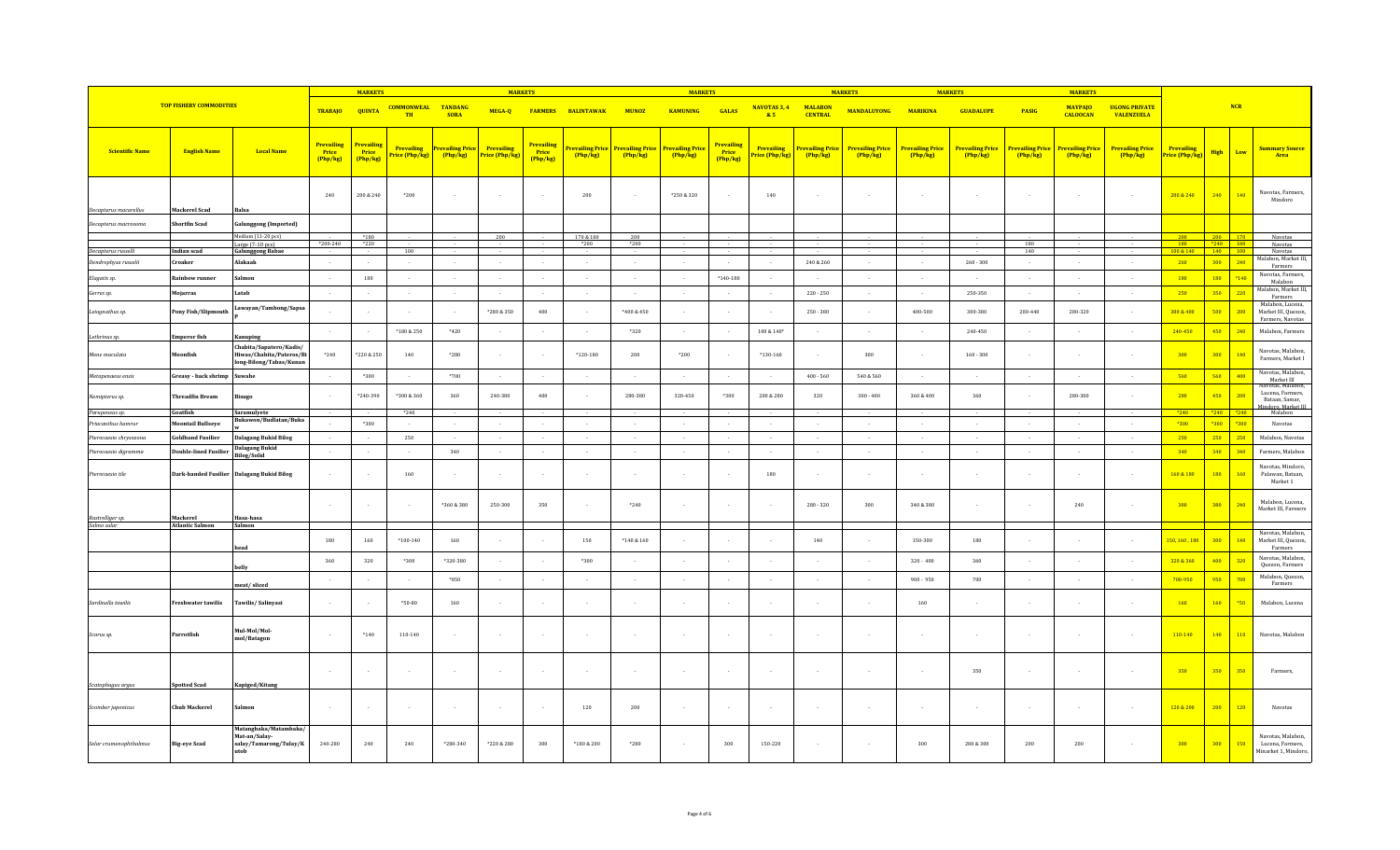| <b>TOP FISHERY COMMODITIES</b>                |                                    |                                                                                | <b>MARKETS</b>                                |                                 |                                    | <b>MARKETS</b>                |                                     |                                      |                           | <b>MARKETS</b>                    |                                   |                                        |                             | <b>MARKETS</b>                    |                                   | <b>MARKET</b>                     |                                   |                           |                                   |                                           |                                     |                   |        |                                                               |
|-----------------------------------------------|------------------------------------|--------------------------------------------------------------------------------|-----------------------------------------------|---------------------------------|------------------------------------|-------------------------------|-------------------------------------|--------------------------------------|---------------------------|-----------------------------------|-----------------------------------|----------------------------------------|-----------------------------|-----------------------------------|-----------------------------------|-----------------------------------|-----------------------------------|---------------------------|-----------------------------------|-------------------------------------------|-------------------------------------|-------------------|--------|---------------------------------------------------------------|
|                                               |                                    |                                                                                | <b>TRABAJO</b>                                | <b>QUINTA</b>                   | <b>COMMONWEAL</b><br>TH            | <b>TANDANG</b><br><b>SORA</b> | MEGA-Q                              |                                      | <b>FARMERS BALINTAWAK</b> | <b>MUNOZ</b>                      | <b>KAMUNING</b>                   | <b>GALAS</b>                           | NAVOTAS 3, 4<br>& 5         | <b>MALABON</b><br><b>CENTRAL</b>  | <b>MANDALUYONG</b>                | <b>MARIKINA</b>                   | <b>GUADALUPE</b>                  | <b>PASIG</b>              | <b>MAYPAJO</b><br><b>CALOOCAN</b> | <b>UGONG PRIVATE</b><br><b>VALENZUELA</b> |                                     |                   | NCR    |                                                               |
| <b>Scientific Name</b>                        | <b>English Name</b>                | <b>Local Name</b>                                                              | <b>Prevailing</b><br><b>Price</b><br>(Php/kg) | Prevailing<br>Price<br>(Php/kg) | <b>Prevailing</b><br>rice (Php/kg) | revailing Price<br>Php/kg     | <b>Prevailing</b><br>Price (Php/kg) | Prevailing<br><b>Price</b><br>Php/kg | revailing Price<br>Php/kg | <b>Prevailing Price</b><br>Php/kg | <b>Prevailing Price</b><br>Php/kg | <b>Prevailing</b><br>Price<br>(Php/kg) | Prevailing<br>rice (Php/kg) | <b>Prevailing Price</b><br>Php/kg | <b>Prevailing Price</b><br>Php/kg | <b>Prevailing Price</b><br>Php/kg | <b>Prevailing Price</b><br>Php/kg | revailing Price<br>Php/kg | revailing Price<br>Php/kg         | <b>Prevailing Price</b><br>Php/kg         | <b>Prevailing</b><br>Price (Php/kg) | <b>High</b>       | Low    | <b>Summary Source</b><br>Area                                 |
|                                               |                                    |                                                                                | 240                                           | 200 & 240                       | $*200$                             |                               |                                     |                                      | $200\,$                   | $\cdot$                           | *250 & 320                        | $\sim$                                 | 140                         |                                   |                                   | $\sim$                            |                                   | $\sim$                    |                                   |                                           | 200 & 240                           | 240               | 140    | Navotas, Farmers.<br>Mindoro                                  |
| Decapterus macarellus<br>Decapterus macrosoma | Mackerel Scad<br>Shortfin Scad     | Balsa<br>alunggong (Imported)                                                  |                                               |                                 |                                    |                               |                                     |                                      |                           |                                   |                                   |                                        |                             |                                   |                                   |                                   |                                   |                           |                                   |                                           |                                     |                   |        |                                                               |
|                                               |                                    | Medium (11-20 pcs)                                                             |                                               | $*180$                          |                                    |                               | 200                                 |                                      | 170 & 180                 | 200                               |                                   |                                        |                             |                                   |                                   |                                   |                                   |                           |                                   |                                           | 200                                 | 200 170           |        | Navotas                                                       |
| Decapterus russelli                           | Indian scad                        | Large (7-10 pcs)<br><b>Galunggong Babae</b>                                    | $*200-240$                                    | $*220$                          | 100                                |                               |                                     |                                      | *200                      | $*200$                            |                                   |                                        |                             |                                   |                                   |                                   |                                   | 180<br>140                |                                   |                                           | 180<br>100 & 140                    | $*240$ 180<br>140 | 100    | Navotas<br>Navotas                                            |
| Dendrophysa russelii                          | Croaker                            | Alakaak                                                                        | $\sim$                                        | $\sim$                          | $\sim$                             | $\sim$                        | $\sim$                              | $\sim$                               | $\sim$                    | $\sim$                            | $\sim$                            | $\sim$ $\sim$                          | $\sim$                      | 240 & 260                         | $\sim$                            | $\sim$                            | $260 - 300$                       | $\sim$                    | $\sim$                            |                                           | 260                                 | 300               | 240    | Malabon, Market III,                                          |
|                                               |                                    |                                                                                |                                               |                                 |                                    |                               |                                     |                                      |                           |                                   |                                   |                                        |                             |                                   |                                   |                                   |                                   |                           |                                   |                                           |                                     |                   |        | Farmers<br>Navotas, Farmers.                                  |
| Elagatis sp.                                  | Rainbow runner                     | almon                                                                          |                                               | 180                             |                                    | $\sim$                        | $\sim$                              |                                      | $\overline{\phantom{a}}$  | $\sim$                            | $\sim$                            | $*140 - 180$                           | $\sim$                      |                                   |                                   |                                   |                                   |                           |                                   |                                           | 180                                 | 180               | $*140$ | Malahon<br>Malabon, Market III,                               |
| Gerres sp.                                    | Mojarras                           | Latab                                                                          |                                               | $\sim$                          |                                    | $\sim$                        | $\sim$                              |                                      | $\sim$                    | $\sim$                            | $\sim$                            | $\sim$                                 |                             | $220 - 250$                       | $\sim$                            | $\sim$                            | 250-350                           | $\sim$                    | $\sim$                            |                                           | 250                                 | 350               | 220    | Farmers                                                       |
| Leiognathus sp.                               | Pony Fish/Slipmouth                | Lawayan/Tambong/Sapsa                                                          |                                               |                                 |                                    |                               | *280 & 350                          | 400                                  |                           | $*400 & 450$                      |                                   |                                        |                             | $250 - 380$                       |                                   | 400-500                           | 300-380                           | 200-440                   | 280-320                           |                                           | 380 & 400                           | 500               | 200    | Malabon, Lucena,<br>Market III, Quezon,<br>Farmers, Navotas   |
| Lethrinus sp.                                 | <b>Emperor</b> fish                | Kanuping                                                                       |                                               |                                 | *180 & 250                         | *420                          | $\sim$                              |                                      |                           | *320                              | $\cdot$                           | $\sim$                                 | $100 \& 140*$               |                                   | $\sim$                            | $\sim$                            | 240-450                           |                           |                                   |                                           | 240-450                             | 450               | 240    | Malabon, Farmers                                              |
| Mene maculata                                 | Moonfish                           | Chabita/Sapatero/Kadis/<br>Hiwas/Chabita/Pateros/Bi<br>long-Bilong/Tabas/Kunan | $*240$                                        | *220 & 250                      | 140                                | *280                          |                                     |                                      | $*120 - 180$              | 200                               | $^*200$                           |                                        | $*130-160$                  |                                   | 300                               |                                   | $160 - 300$                       |                           |                                   |                                           | 300                                 | 300 <sub>2</sub>  | 140    | Navotas, Malabon,<br>Farmers, Market I                        |
| Metapenaeus ensis                             | Greasy - back shrimp               | Suwahe                                                                         | $\sim$                                        | *300                            | $\sim$                             | *700                          | $\sim$                              |                                      | $\sim$                    | $\sim$                            | $\sim$                            | $\sim$                                 |                             | $400 - 560$                       | 540 & 560                         | $\sim$                            | $\sim$                            | $\sim$                    | $\sim$ 100 $\mu$                  | $\sim$                                    | 560                                 | 560               | 400    | Navotas, Malabon,<br>Market III<br>Navotas, Malabon           |
| Nemipterus sp.                                | Threadfin Bream                    | isugo                                                                          |                                               | *240-390                        | *300 & 360                         | 360                           | 240-380                             | 400                                  |                           | 280-380                           | 320-450                           | *300                                   | 200 & 280                   | 320                               | $300 - 400$                       | 360 & 400                         | 360                               |                           | 280-300                           |                                           | 280                                 | 450               | 200    | Lucena, Farmers.<br>Bataan, Samar,<br>indoro Market III       |
| Parupeneus sp.                                | Goatfish                           | Saramulyete                                                                    |                                               |                                 | $*240$                             |                               |                                     |                                      |                           |                                   |                                   |                                        |                             |                                   |                                   |                                   |                                   |                           |                                   |                                           | *240                                | $*240$ $*240$     |        | Malabon                                                       |
| Priacanthus hamrur                            | <b>foontail Bullseye</b>           | Bukawon/Budlatan/Buka                                                          |                                               | $*300$                          |                                    | $\sim$                        | $\sim$                              |                                      | $\sim$                    | $\sim$                            | $\sim$                            | $\sim$                                 |                             |                                   | $\sim$                            | $\sim$                            |                                   |                           |                                   |                                           | $*300$                              | $*300$            | *300   | Navotas                                                       |
| Pterocaesio chrysozona                        | <b>Goldband Fusilier</b>           | <b>Dalagang Bukid Bilog</b>                                                    |                                               | $\sim$                          | 250                                | $\sim$                        | $\sim$                              |                                      | $\overline{\phantom{a}}$  | $\sim$                            | $\sim$                            | $\sim$                                 |                             |                                   |                                   | $\sim$                            |                                   |                           |                                   |                                           | 250                                 | 250               | 250    | Malabon, Navotas                                              |
| Pterocaesio digramma                          | Double-lined Fusilier              | <b>Dalagang Bukid</b><br><b>Bilog/Solid</b>                                    | $\sim$                                        | $\sim$                          |                                    | 340                           | $\sim$                              |                                      | $\sim$                    | $\sim$                            | $\sim$                            | $\sim$                                 | $\sim$                      | $\sim$                            | $\sim$                            | $\sim$                            | $\sim$                            | $\sim$                    | $\sim$                            | $\sim$                                    | 340                                 | 340               | 340    | Farmers, Malabon                                              |
| Pterocaesio tile                              |                                    | Dark-banded Fusilier Dalagang Bukid Bilog                                      |                                               | $\sim$                          | 160                                | $\sim$                        | $\sim$                              |                                      | - 1                       | $\epsilon$                        | $\cdot$                           | $\sim$                                 | 180                         |                                   |                                   | $\sim$                            |                                   | ÷.                        |                                   |                                           | 160 & 180                           | 180               | 160    | Navotas, Mindoro,<br>Palawan, Bataan,<br>Market 1             |
|                                               |                                    |                                                                                |                                               | $\sim$                          |                                    | *360 & 380                    | 250-300                             | 350                                  |                           | *240                              | $\sim$                            | $\sim$                                 |                             | $280 - 320$                       | 300                               | 340 & 380                         |                                   | $\ddot{\phantom{1}}$      | 240                               |                                           | 300                                 | 380               | 240    | Malabon, Lucena,<br>Market III, Farmers                       |
| Rastrelliger sp.<br>Salmo salar               | Mackerel<br><b>Atlantic Salmon</b> | Hasa-hasa<br>Salmon                                                            |                                               |                                 |                                    |                               |                                     |                                      |                           |                                   |                                   |                                        |                             |                                   |                                   |                                   |                                   |                           |                                   |                                           |                                     |                   |        |                                                               |
|                                               |                                    |                                                                                | 180                                           | 160                             | $*100 - 140$                       | 160                           |                                     |                                      | 150                       | $*140 & 160$                      |                                   | $\sim$                                 |                             | 140                               |                                   | 150-300                           | 180                               |                           |                                   |                                           | 150, 160, 180                       | 300               | 140    | Navotas, Malabon.<br>Market III, Quezon                       |
|                                               |                                    |                                                                                | 360                                           | 320                             | *300                               | $*320 - 380$                  |                                     |                                      | *300                      |                                   |                                   |                                        |                             |                                   |                                   | $320 - 400$                       | 360                               |                           |                                   |                                           | 320 & 360                           | 400               | 320    | Farmers<br>Navotas, Malabon,<br>Quezon, Farmers               |
|                                               |                                    | belly                                                                          |                                               |                                 |                                    | *850                          |                                     |                                      |                           |                                   |                                   | $\cdot$                                |                             |                                   |                                   | $900 - 950$                       | 700                               |                           |                                   |                                           | 700-950                             | 950               | 700    | Malabon, Quezon,                                              |
| Sardinella tawilis                            | <b>Freshwater tawilis</b>          | meat/sliced<br>Tawilis/Salinyasi                                               |                                               | $\sim$                          | $*50-80$                           | 160                           |                                     |                                      |                           |                                   |                                   | $\sim$                                 |                             |                                   |                                   | 160                               |                                   |                           |                                   |                                           | 160                                 | 160               | *50    | Farmers<br>Malabon, Lucena                                    |
|                                               |                                    |                                                                                |                                               |                                 |                                    |                               |                                     |                                      |                           |                                   |                                   |                                        |                             |                                   |                                   |                                   |                                   |                           |                                   |                                           |                                     |                   |        |                                                               |
| Scarus sp.                                    | Parrotfish                         | Mul-Mol/Mol-<br>mol/Batagon                                                    |                                               | $*140$                          | 110-140                            | $\sim$                        | $\sim$                              |                                      |                           | $\sim$                            | $\sim$                            | $\sim$                                 |                             |                                   |                                   |                                   |                                   | ٠.                        |                                   |                                           | 110-140                             | 140               | 110    | Navotas, Malabon                                              |
| Scatophagus argu:                             | <b>Spotted Scad</b>                | Kapiged/Kitang                                                                 |                                               | $\sim$                          |                                    | $\sim$                        | $\sim$                              |                                      | $\overline{\phantom{a}}$  | $\sim$                            | $\sim$                            | $\sim$                                 |                             |                                   |                                   | $\sim$                            | 350                               | ٠.                        | $\overline{\phantom{a}}$          |                                           | 350                                 | 350               | 350    | Farmers,                                                      |
| Scomber japonicus                             | <b>Chub Mackerel</b>               | Salmon                                                                         |                                               | $\sim$                          |                                    | $\sim$                        | $\sim$                              |                                      | 120                       | 200                               | $\sim$                            | $\sim$                                 |                             |                                   |                                   | $\sim$                            |                                   | $\sim$                    | $\sim$                            | $\sim$                                    | 120 & 200                           | 200               | 120    | Navotas                                                       |
| Selar crumenophthalmus                        | <b>Big-eye Scad</b>                | Matangbaka/Matambaka/<br>Mat-an/Salay-<br>salay/Tamarong/Tulay/K<br>utob       | 240-280                                       | 240                             | 240                                | $*280 - 340$                  | *220 & 280                          | 300                                  | *180 & 200                | *280                              | $\sim$                            | 300                                    | 150-220                     |                                   | $\sim$                            | 300                               | 280 & 300                         | 200                       | 200                               |                                           | 300                                 | 300               | 150    | Navotas, Malabon,<br>Lucena, Farmers.<br>Minarket 1, Mindoro, |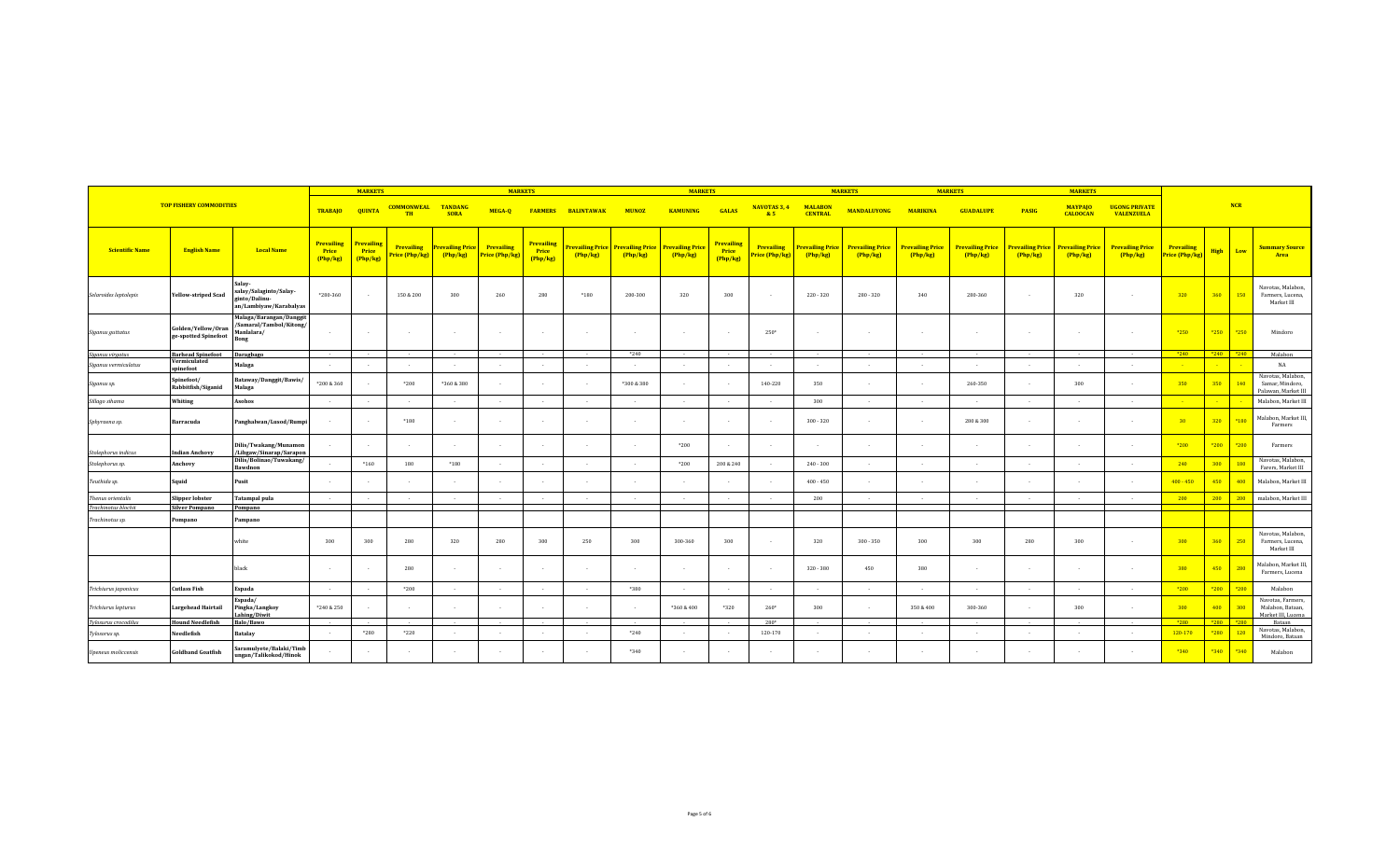|                                |                                            |                                                                             |                                             | <b>MARKETS</b>                  |                                     | <b>MARKETS</b>                    |                              |                                             |                                   |                                   | <b>MARKETS</b>                    |                                        |                                     |                                   | <b>MARKETS</b>                    |                                   | <b>MARKETS</b>                      |                                   |                                           |                                   |                                     |                    |                                                             |
|--------------------------------|--------------------------------------------|-----------------------------------------------------------------------------|---------------------------------------------|---------------------------------|-------------------------------------|-----------------------------------|------------------------------|---------------------------------------------|-----------------------------------|-----------------------------------|-----------------------------------|----------------------------------------|-------------------------------------|-----------------------------------|-----------------------------------|-----------------------------------|-------------------------------------|-----------------------------------|-------------------------------------------|-----------------------------------|-------------------------------------|--------------------|-------------------------------------------------------------|
| <b>TOP FISHERY COMMODITIES</b> |                                            | <b>TRABAJO</b>                                                              | <b>QUINTA</b>                               | <b>COMMONWEAL</b><br><b>TH</b>  | <b>TANDANG</b><br><b>SORA</b>       | MEGA-O                            | <b>FARMERS</b>               | <b>BALINTAWAK</b>                           | <b>MUNOZ</b>                      | <b>KAMUNING</b>                   | <b>GALAS</b>                      | <b>NAVOTAS 3, 4</b><br>85              | <b>MALABON</b><br><b>CENTRAL</b>    | <b>MANDALUYONG</b>                | <b>MARIKINA</b>                   | <b>GUADALUPE</b>                  | <b>PASIG</b>                        | <b>MAYPAJO</b><br><b>CALOOCAN</b> | <b>UGONG PRIVATE</b><br><b>VALENZUELA</b> |                                   | <b>NCR</b>                          |                    |                                                             |
| <b>Scientific Name</b>         | <b>English Name</b>                        | <b>Local Name</b>                                                           | <b>Prevailing</b><br><b>Price</b><br>Php/kg | Prevailing<br>Price<br>(Php/kg) | <b>Prevailing</b><br>Price (Php/kg) | <b>Prevailing Price</b><br>Php/kg | Prevailing<br>Price (Php/kg) | <b>Prevailing</b><br><b>Price</b><br>Php/kg | <b>Trevailing Price</b><br>Php/kg | <b>Prevailing Price</b><br>Php/kg | <b>Prevailing Price</b><br>Php/kg | <u>Prevailing</u><br>Price<br>(Php/kg) | <b>Prevailing</b><br>Price (Php/kg) | <b>Prevailing Price</b><br>Php/kg | <b>Prevailing Price</b><br>Php/kg | <b>Prevailing Price</b><br>Php/kg | <b>Prevailing Price</b><br>(Php/kg) | <b>Prevailing Price</b><br>Php/kg | <b>Prevailing Price</b><br>Php/kg         | <b>Prevailing Price</b><br>Php/kg | <b>Prevailing</b><br>Price (Php/kg) | <b>High</b><br>Low | <b>Summary Source</b><br>Area                               |
| Selaroides leptolepis          | <b>Yellow-striped Scad</b>                 | Salay-<br>salay/Salaginto/Salay-<br>ginto/Dalinu-<br>an/Lambiyaw/Karabalyas | $*280 - 360$                                |                                 | 150 & 200                           | 300                               | 260                          | 280                                         | $*180$                            | 200-300                           | 320                               | 300                                    |                                     | 220 - 320                         | $280 - 320$                       | 340                               | 280-360                             | - 1                               | 320                                       |                                   | 320                                 | 360<br>150         | Navotas, Malabon,<br>Farmers, Lucena,<br>Market III         |
| Siganus guttatus               | Golden/Yellow/Oran<br>ge-spotted Spinefoot | Malaga/Barangan/Danggit<br>'Samaral/Tambol/Kitong/<br>Manlalara/<br>Bong    |                                             |                                 |                                     |                                   |                              |                                             | $\overline{\phantom{a}}$          |                                   |                                   |                                        | $250*$                              |                                   |                                   |                                   |                                     |                                   |                                           |                                   | $*250$                              | *250<br>*250       | Mindoro                                                     |
| Siganus virgatus               | <b>Barhead Spinefoot</b>                   | Daragbago                                                                   | $\sim$                                      |                                 |                                     | $\sim$ 100 $\mu$                  | $\sim$                       | $\sim$                                      | $\sim$                            | $*240$                            | $\sim$                            | $\sim$                                 | $\sim$                              | $\sim$                            | $\sim$                            | $\sim$                            | $\sim$                              | $\sim$                            | $\sim$ 100 $\sim$                         | $\sim$ $-$                        | $*240$                              | $*240$ $*240$      | Malabon                                                     |
| Siganus vermiculatus           | Vermiculated<br>spinefoot                  | Malaga                                                                      |                                             |                                 |                                     | $\sim$                            | $\sim$                       |                                             | $\overline{\phantom{a}}$          | $\sim$                            | $\sim$                            | $\overline{\phantom{a}}$               |                                     |                                   |                                   | $\overline{\phantom{a}}$          | $\sim$                              | $\sim$                            |                                           |                                   |                                     |                    | NA                                                          |
| Siganus sp.                    | Spinefoot/<br>Rabbitfish/Siganid           | Bataway/Danggit/Bawis/<br>Malaga                                            | *200 & 360                                  |                                 | $*200$                              | *360 & 380                        |                              |                                             | $\sim$                            | *300 & 380                        |                                   |                                        | 140-220                             | 350                               |                                   |                                   | 260-350                             |                                   | 300                                       |                                   | 350                                 | 350<br>140         | Navotas, Malabon,<br>Samar, Mindoro,<br>Palawan, Market III |
| Sillago sihama                 | Whiting                                    | Asohos                                                                      |                                             |                                 |                                     |                                   |                              |                                             |                                   |                                   |                                   |                                        |                                     | 300                               | $\sim$                            | $\overline{\phantom{a}}$          |                                     |                                   |                                           |                                   |                                     |                    | Malabon, Market III                                         |
| Sphyraena sp.                  | Barracuda                                  | Panghalwan/Lusod/Rumpi                                                      |                                             |                                 | $*180$                              | $\sim$                            | $\sim$                       |                                             | $\sim$                            | $\sim$                            | $\sim$                            | $\sim$                                 |                                     | $300 - 320$                       |                                   | $\sim$                            | 280 & 300                           | $\sim$                            | . .                                       |                                   | 30 <sup>°</sup>                     | 320<br>$*180$      | Malabon, Market III<br>Farmers                              |
| Stolephorus indicus            | <b>Indian Anchovy</b>                      | Dilis/Twakang/Munamon<br>/Libgaw/Sinarap/Sarapon                            |                                             |                                 |                                     | $\sim$                            | $\sim$                       |                                             | $\overline{a}$                    | $\sim$                            | $*200$                            | $\sim$                                 |                                     |                                   |                                   | $\sim$                            |                                     | $\sim$                            |                                           |                                   | *200                                | $*200$<br>$*200$   | Farmers                                                     |
| Stolephorus sp.                | Anchovy                                    | Dilis/Bolinao/Tuwakang/<br>Bawdnon                                          |                                             | $*160$                          | 180                                 | $*180$                            |                              |                                             |                                   |                                   | *200                              | 200 & 240                              |                                     | $240 - 300$                       |                                   |                                   |                                     |                                   |                                           |                                   | 240                                 | 300<br>180         | Navotas, Malabon,<br>Farers, Market III                     |
| Teuthida sp.                   | Squid                                      | Pusit                                                                       | $\sim$                                      |                                 |                                     |                                   | $\sim$                       |                                             | $\overline{a}$                    | $\sim$                            | $\sim$                            | $\sim$                                 |                                     | $400 - 450$                       |                                   | $\overline{\phantom{a}}$          |                                     |                                   |                                           |                                   | $400 - 450$                         | 450<br>400         | Malabon, Market III                                         |
| Thenus orientalis              | <b>Slipper lobster</b>                     | <b>Tatampal pula</b>                                                        | $\sim 10^{-1}$                              | $\sim$                          | $\sim$                              | $\sim$                            | <b>Contract</b>              | $\sim$                                      | $\sim$                            | $\sim$                            | $\sim$                            | $\sim$ $\sim$                          | $\sim$                              | 200                               | $\sim$                            | $\sim$                            | $\sim$                              | $\sim$                            | $\sim$                                    | $\sim$                            | 200                                 | 200<br>200         | malabon, Market III                                         |
| Trachinotus blochii            | <b>Silver Pompano</b>                      | Pompano                                                                     |                                             |                                 |                                     |                                   |                              |                                             |                                   |                                   |                                   |                                        |                                     |                                   |                                   |                                   |                                     |                                   |                                           |                                   |                                     |                    |                                                             |
| Trachinotus sp.                | Pompano                                    | Pampano                                                                     |                                             |                                 |                                     |                                   |                              |                                             |                                   |                                   |                                   |                                        |                                     |                                   |                                   |                                   |                                     |                                   |                                           |                                   |                                     |                    |                                                             |
|                                |                                            | white                                                                       | 300                                         | 300                             | 280                                 | 320                               | 280                          | 300                                         | 250                               | 300                               | 300-360                           | 300                                    |                                     | 320                               | $300 - 350$                       | 300                               | 300                                 | 280                               | 300                                       |                                   | 300                                 | 360<br>250         | Navotas, Malabon,<br>Farmers, Lucena,<br>Market III         |
|                                |                                            | black                                                                       |                                             |                                 | 280                                 | $\sim$                            | $\sim$                       |                                             | $\cdot$                           | $\sim$                            | $\sim$                            | $\sim$                                 |                                     | $320 - 380$                       | 450                               | 380                               |                                     | $\sim$                            |                                           |                                   | 380                                 | 450<br>280         | Malabon, Market III<br>Farmers, Lucena                      |
| Trichiurus japonicus           | <b>Cutlass Fish</b>                        | Espada                                                                      | $\sim$                                      |                                 | *200                                |                                   |                              |                                             |                                   | *380                              |                                   |                                        |                                     |                                   |                                   |                                   |                                     |                                   |                                           |                                   | $*200$                              | $*200$<br>$*200$   | Malabon                                                     |
| Trichiurus lepturus            | <b>Largehead Hairtail</b>                  | Espada/<br>Pingka/Langkoy<br>Lahing/Diwit                                   | *240 & 250                                  |                                 |                                     | $\sim$                            | $\sim$                       |                                             | $\sim$                            | $\sim$                            | *360 & 400                        | $*320$                                 | $260*$                              | 300                               |                                   | 350 & 400                         | 300-360                             | $\sim$                            | 300                                       |                                   | 300                                 | 400<br>300         | Navotas, Farmers,<br>Malabon, Bataan,<br>Market III, Lucena |
| Tylosurus crocodilus           | <b>Hound Needlefish</b>                    | Balo/Bawo                                                                   |                                             |                                 |                                     |                                   |                              |                                             |                                   |                                   |                                   |                                        | $280*$                              |                                   |                                   |                                   | $\sim$                              |                                   |                                           |                                   | *280                                | $*280$ $*280$      | Bataan<br>Navotas, Malabon,                                 |
| Tylosorus sp.                  | Needlefish                                 | <b>Batalay</b><br>Saramulyete/Balaki/Timb                                   | $\sim$                                      | *280                            | $*220$                              |                                   | $\sim$                       |                                             |                                   | $*240$                            |                                   |                                        | 120-170                             |                                   |                                   |                                   |                                     |                                   |                                           |                                   | 120-170                             | *280<br>120        | Mindoro, Bataan                                             |
| <b>Upeneus</b> moliccensis     | <b>Goldband Goatfish</b>                   | ungan/Talikokod/Hinok                                                       |                                             | $\sim$ $\sim$                   | $\sim$                              | $\sim$                            | $\sim$                       | $\sim$                                      | $\sim$                            | *340                              | $\sim$                            | $\sim$                                 | $\sim$                              |                                   | $\sim$                            | $\sim$                            | $\sim$                              | $\sim$                            | $\sim$                                    |                                   | $*340$                              | $*340$<br>*340     | Malabon                                                     |